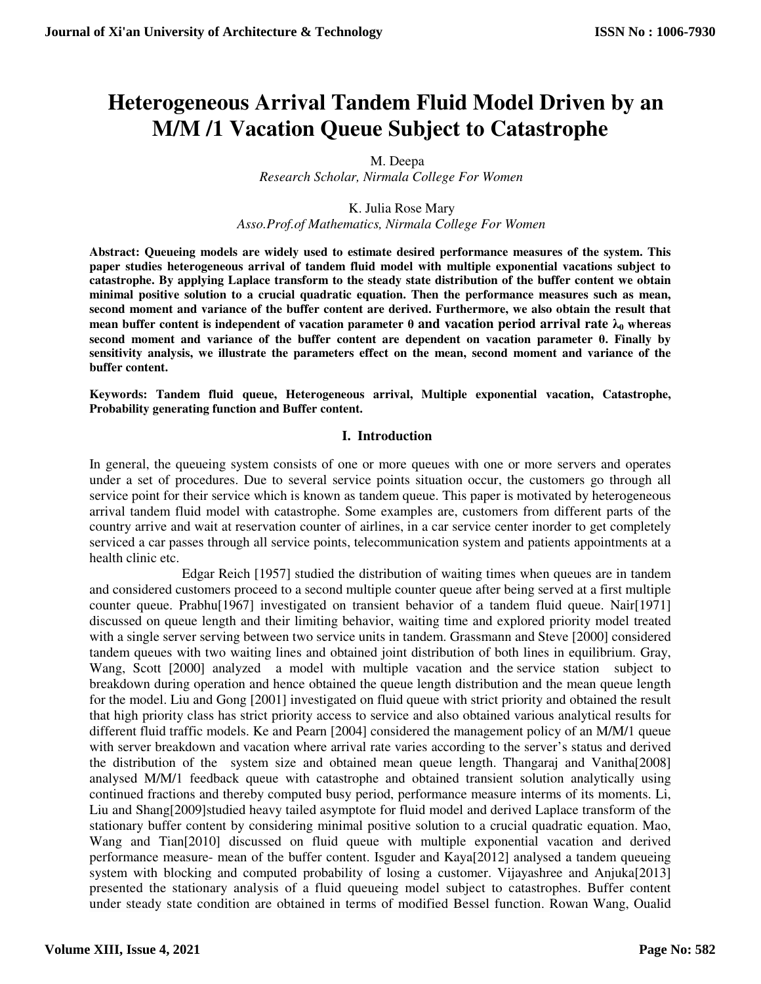# **Heterogeneous Arrival Tandem Fluid Model Driven by an M/M /1 Vacation Queue Subject to Catastrophe**

 M. Deepa *Research Scholar, Nirmala College For Women* 

 K. Julia Rose Mary *Asso.Prof.of Mathematics, Nirmala College For Women*

**Abstract: Queueing models are widely used to estimate desired performance measures of the system. This paper studies heterogeneous arrival of tandem fluid model with multiple exponential vacations subject to catastrophe. By applying Laplace transform to the steady state distribution of the buffer content we obtain minimal positive solution to a crucial quadratic equation. Then the performance measures such as mean, second moment and variance of the buffer content are derived. Furthermore, we also obtain the result that mean buffer content is independent of vacation parameter θ and vacation period arrival rate λ0 whereas second moment and variance of the buffer content are dependent on vacation parameter θ. Finally by sensitivity analysis, we illustrate the parameters effect on the mean, second moment and variance of the buffer content.** 

**Keywords: Tandem fluid queue, Heterogeneous arrival, Multiple exponential vacation, Catastrophe, Probability generating function and Buffer content.**

#### **I. Introduction**

In general, the queueing system consists of one or more queues with one or more servers and operates under a set of procedures. Due to several service points situation occur, the customers go through all service point for their service which is known as tandem queue. This paper is motivated by heterogeneous arrival tandem fluid model with catastrophe. Some examples are, customers from different parts of the country arrive and wait at reservation counter of airlines, in a car service center inorder to get completely serviced a car passes through all service points, telecommunication system and patients appointments at a health clinic etc.

Edgar Reich [1957] studied the distribution of waiting times when queues are in tandem and considered customers proceed to a second multiple counter queue after being served at a first multiple counter queue. Prabhu[1967] investigated on transient behavior of a tandem fluid queue. Nair[1971] discussed on queue length and their limiting behavior, waiting time and explored priority model treated with a single server serving between two service units in tandem. Grassmann and Steve [2000] considered tandem queues with two waiting lines and obtained joint distribution of both lines in equilibrium. Gray, Wang, Scott [2000] analyzed a model with multiple vacation and the service station subject to breakdown during operation and hence obtained the queue length distribution and the mean queue length for the model. Liu and Gong [2001] investigated on fluid queue with strict priority and obtained the result that high priority class has strict priority access to service and also obtained various analytical results for different fluid traffic models. Ke and Pearn [2004] considered the management policy of an M/M/1 queue with server breakdown and vacation where arrival rate varies according to the server's status and derived the distribution of the system size and obtained mean queue length. Thangaraj and Vanitha[2008] analysed M/M/1 feedback queue with catastrophe and obtained transient solution analytically using continued fractions and thereby computed busy period, performance measure interms of its moments. Li, Liu and Shang[2009]studied heavy tailed asymptote for fluid model and derived Laplace transform of the stationary buffer content by considering minimal positive solution to a crucial quadratic equation. Mao, Wang and Tian[2010] discussed on fluid queue with multiple exponential vacation and derived performance measure- mean of the buffer content. Isguder and Kaya[2012] analysed a tandem queueing system with blocking and computed probability of losing a customer. Vijayashree and Anjuka[2013] presented the stationary analysis of a fluid queueing model subject to catastrophes. Buffer content under steady state condition are obtained in terms of modified Bessel function. Rowan Wang, Oualid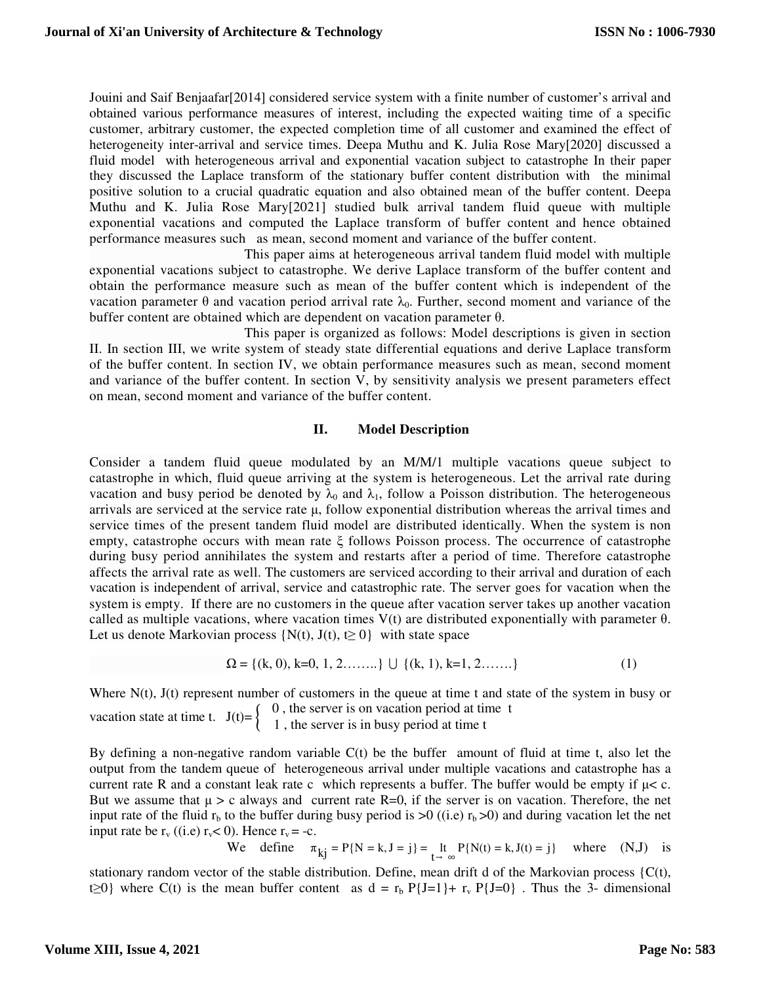Jouini and Saif Benjaafar[2014] considered service system with a finite number of customer's arrival and obtained various performance measures of interest, including the expected waiting time of a specific customer, arbitrary customer, the expected completion time of all customer and examined the effect of heterogeneity inter-arrival and service times. Deepa Muthu and K. Julia Rose Mary[2020] discussed a fluid model with heterogeneous arrival and exponential vacation subject to catastrophe In their paper they discussed the Laplace transform of the stationary buffer content distribution with the minimal positive solution to a crucial quadratic equation and also obtained mean of the buffer content. Deepa Muthu and K. Julia Rose Mary[2021] studied bulk arrival tandem fluid queue with multiple exponential vacations and computed the Laplace transform of buffer content and hence obtained performance measures such as mean, second moment and variance of the buffer content.

 This paper aims at heterogeneous arrival tandem fluid model with multiple exponential vacations subject to catastrophe. We derive Laplace transform of the buffer content and obtain the performance measure such as mean of the buffer content which is independent of the vacation parameter θ and vacation period arrival rate  $λ_0$ . Further, second moment and variance of the buffer content are obtained which are dependent on vacation parameter θ.

 This paper is organized as follows: Model descriptions is given in section II. In section III, we write system of steady state differential equations and derive Laplace transform of the buffer content. In section IV, we obtain performance measures such as mean, second moment and variance of the buffer content. In section V, by sensitivity analysis we present parameters effect on mean, second moment and variance of the buffer content.

# **II. Model Description**

Consider a tandem fluid queue modulated by an M/M/1 multiple vacations queue subject to catastrophe in which, fluid queue arriving at the system is heterogeneous. Let the arrival rate during vacation and busy period be denoted by  $\lambda_0$  and  $\lambda_1$ , follow a Poisson distribution. The heterogeneous arrivals are serviced at the service rate μ, follow exponential distribution whereas the arrival times and service times of the present tandem fluid model are distributed identically. When the system is non empty, catastrophe occurs with mean rate ξ follows Poisson process. The occurrence of catastrophe during busy period annihilates the system and restarts after a period of time. Therefore catastrophe affects the arrival rate as well. The customers are serviced according to their arrival and duration of each vacation is independent of arrival, service and catastrophic rate. The server goes for vacation when the system is empty. If there are no customers in the queue after vacation server takes up another vacation called as multiple vacations, where vacation times  $V(t)$  are distributed exponentially with parameter  $\theta$ . Let us denote Markovian process  $\{N(t), J(t), t \ge 0\}$  with state space

$$
\Omega = \{ (k, 0), k=0, 1, 2, \dots \} \cup \{ (k, 1), k=1, 2, \dots \}
$$
 (1)

Where N(t), J(t) represent number of customers in the queue at time t and state of the system in busy or vacation state at time t.  $J(t) = \begin{cases} 0$ , the server is on vacation period at time t 1 , the server is in busy period at time t

By defining a non-negative random variable  $C(t)$  be the buffer amount of fluid at time t, also let the output from the tandem queue of heterogeneous arrival under multiple vacations and catastrophe has a current rate R and a constant leak rate c which represents a buffer. The buffer would be empty if  $\mu$  < c. But we assume that  $\mu > c$  always and current rate R=0, if the server is on vacation. Therefore, the net input rate of the fluid  $r<sub>b</sub>$  to the buffer during busy period is  $>0$  ((i.e)  $r<sub>b</sub>$  >0) and during vacation let the net input rate be  $r_v$  ((i.e)  $r_v < 0$ ). Hence  $r_v = -c$ .

We define 
$$
\pi_{kj} = P\{N = k, J = j\} = \underset{t \to \infty}{\text{lt}} P\{N(t) = k, J(t) = j\}
$$
 where (N,J) is

stationary random vector of the stable distribution. Define, mean drift d of the Markovian process  $\{C(t),$ t≥0} where C(t) is the mean buffer content as  $d = r_b P{J=1}+ r_v P{J=0}$ . Thus the 3- dimensional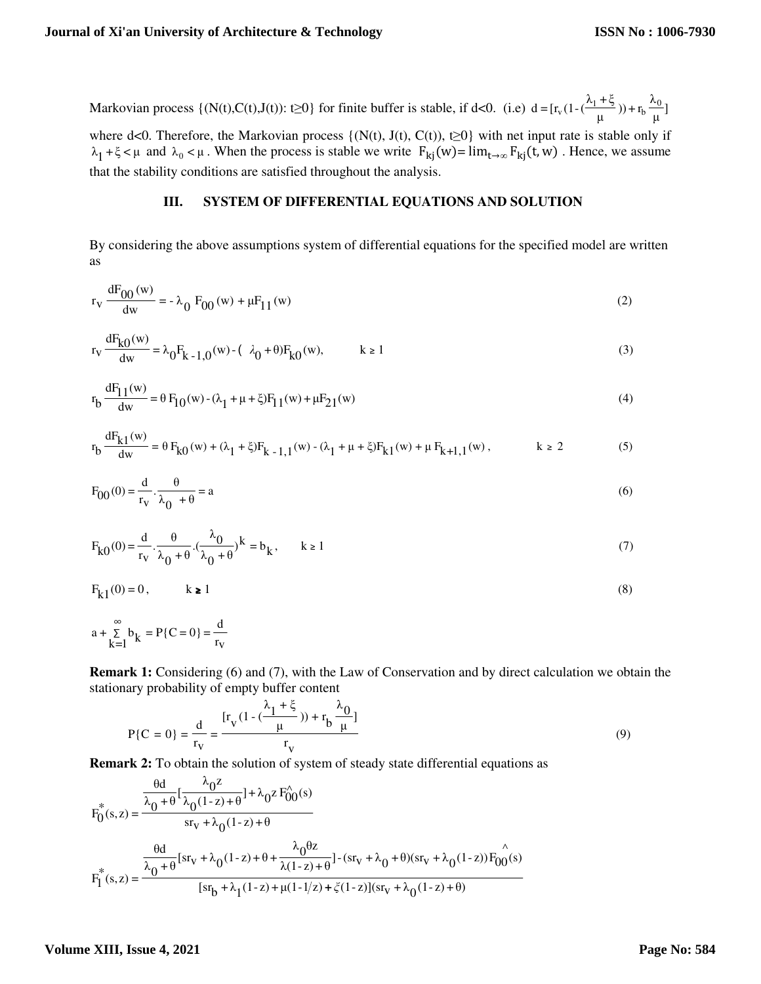Markovian process  $\{ (N(t),C(t),J(t)) : t \ge 0 \}$  for finite buffer is stable, if d<0. (i.e)  $d = [r_v(1-(\frac{\cdots}{\mu})) + r_b \frac{\cdots}{\mu}]$  $(\frac{1+\xi}{\mu}) + r_b \frac{\lambda}{\mu}$  $d = [r_v (1 - (\frac{\lambda_1 + \xi}{u})) + r_b \frac{\lambda_0}{u}]$ 

where d<0. Therefore, the Markovian process  $\{N(t), J(t), C(t), t\geq 0\}$  with net input rate is stable only if  $\lambda_1 + \xi < \mu$  and  $\lambda_0 < \mu$ . When the process is stable we write  $F_{kj}(w) = \lim_{t \to \infty} F_{kj}(t, w)$ . Hence, we assume that the stability conditions are satisfied throughout the analysis.

# **III. SYSTEM OF DIFFERENTIAL EQUATIONS AND SOLUTION**

By considering the above assumptions system of differential equations for the specified model are written as

$$
r_v \frac{dF_{00}(w)}{dw} = -\lambda_0 F_{00}(w) + \mu F_{11}(w)
$$
 (2)

$$
r_v \frac{dF_{k0}(w)}{dw} = \lambda_0 F_{k-1,0}(w) - (\lambda_0 + \theta) F_{k0}(w), \qquad k \ge 1
$$
 (3)

$$
r_b \frac{dF_{11}(w)}{dw} = \theta F_{10}(w) - (\lambda_1 + \mu + \xi) F_{11}(w) + \mu F_{21}(w)
$$
\n(4)

$$
r_b \frac{dF_{k1}(w)}{dw} = \theta F_{k0}(w) + (\lambda_1 + \xi) F_{k-1,1}(w) - (\lambda_1 + \mu + \xi) F_{k1}(w) + \mu F_{k+1,1}(w), \qquad k \ge 2
$$
 (5)

$$
F_{00}(0) = \frac{d}{r_v} \cdot \frac{\theta}{\lambda_0 + \theta} = a \tag{6}
$$

$$
F_{k0}(0) = \frac{d}{r_v} \cdot \frac{\theta}{\lambda_0 + \theta} \cdot (\frac{\lambda_0}{\lambda_0 + \theta})^k = b_k, \quad k \ge 1
$$
\n<sup>(7)</sup>

$$
F_{k1}(0) = 0, \qquad k \ge 1
$$
\n<sup>(8)</sup>

$$
a + \sum_{k=1}^{\infty} b_k = P\{C = 0\} = \frac{d}{r_v}
$$

**Remark 1:** Considering (6) and (7), with the Law of Conservation and by direct calculation we obtain the stationary probability of empty buffer content

$$
P\{C = 0\} = \frac{d}{r_V} = \frac{[r_V(1 - (\frac{\lambda_1 + \xi}{\mu})) + r_b \frac{\lambda_0}{\mu}]}{r_V}
$$
(9)

**Remark 2:** To obtain the solution of system of steady state differential equations as

$$
F_0^*(s, z) = \frac{\frac{\theta d}{\lambda_0 + \theta} \left[ \frac{\lambda_0 z}{\lambda_0 (1 - z) + \theta} \right] + \lambda_0 z F_{00}^{\wedge}(s)}{s r_v + \lambda_0 (1 - z) + \theta}
$$
  

$$
F_1^*(s, z) = \frac{\frac{\theta d}{\lambda_0 + \theta} \left[ s r_v + \lambda_0 (1 - z) + \theta + \frac{\lambda_0 \theta z}{\lambda (1 - z) + \theta} \right] - (s r_v + \lambda_0 + \theta)(s r_v + \lambda_0 (1 - z)) F_{00}^{\wedge}(s)}{\left[ s r_b + \lambda_1 (1 - z) + \mu (1 - 1/z) + \zeta (1 - z) \right] (s r_v + \lambda_0 (1 - z) + \theta)}
$$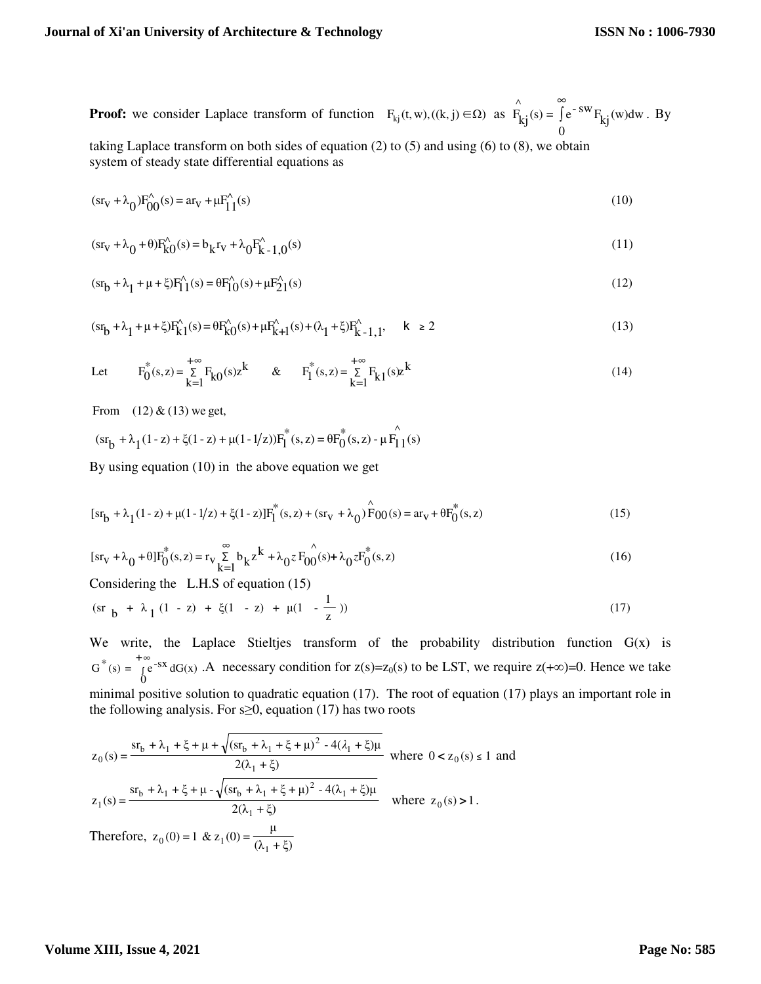**Proof:** we consider Laplace transform of function  $F_{kj}(t, w)$ , $((k, j) \in \Omega)$  as  $F_{kj}(s) = \int e^{-sw} F_{kj}(w)dw$ 0  $(s) = \int e^{-SW}$ ∧  $F_{kj}(s) = \int$ ∞ . By

taking Laplace transform on both sides of equation  $(2)$  to  $(5)$  and using  $(6)$  to  $(8)$ , we obtain system of steady state differential equations as

$$
(sr_V + \lambda_0)F_{00}^{(s)}(s) = ar_V + \mu F_{11}^{(s)}(s)
$$
\n(10)

$$
(sr_V + \lambda_0 + \theta)F_{k0}^{\hat{}}(s) = b_kr_V + \lambda_0F_{k-1,0}^{\hat{}}(s)
$$
\n(11)

$$
(sr_b + \lambda_1 + \mu + \xi)F_1^{\wedge}(s) = \theta F_1^{\wedge}(s) + \mu F_2^{\wedge}(s)
$$
\n(12)

$$
(sr_b + \lambda_1 + \mu + \xi)F_k^{\wedge}(s) = \theta F_k^{\wedge}(s) + \mu F_{k+1}^{\wedge}(s) + (\lambda_1 + \xi)F_k^{\wedge}(s) + \mu + \xi)F_k^{\wedge}(s) \tag{13}
$$

Let 
$$
F_0^*(s, z) = \sum_{k=1}^{+\infty} F_k o(s) z^k
$$
 &  $F_1^*(s, z) = \sum_{k=1}^{+\infty} F_k 1 (s) z^k$  (14)

From  $(12) & (13)$  we get,

$$
(s r_b + \lambda_1 (1-z) + \xi (1-z) + \mu (1-1/z)) F_I^*(s,z) = \theta F_0^*(s,z) - \mu F_{11}^*(s)
$$

By using equation (10) in the above equation we get

$$
[sr_b + \lambda_1(1-z) + \mu(1-1/z) + \xi(1-z)]F_1^*(s, z) + (sr_v + \lambda_0)\stackrel{\wedge}{F}00(s) = ar_v + \theta F_0^*(s, z)
$$
\n(15)

$$
[sr_V + \lambda_0 + \theta]F_0^*(s, z) = r_V \sum_{k=1}^{\infty} b_k z^k + \lambda_0 z F_{00}^*(s) + \lambda_0 z F_0^*(s, z)
$$
\n(16)

Considering the L.H.S of equation (15)

$$
(\text{sr }_{b} + \lambda_{1}(1 - z) + \xi(1 - z) + \mu(1 - \frac{1}{z})) \tag{17}
$$

We write, the Laplace Stieltjes transform of the probability distribution function  $G(x)$  is ∫ +∞ **D**  $G^*(s) = \int e^{-sx} dG(x)$ . A necessary condition for  $z(s) = z_0(s)$  to be LST, we require  $z(+\infty) = 0$ . Hence we take minimal positive solution to quadratic equation (17). The root of equation (17) plays an important role in the following analysis. For  $s \geq 0$ , equation (17) has two roots

$$
z_0(s) = \frac{sr_b + \lambda_1 + \xi + \mu + \sqrt{(sr_b + \lambda_1 + \xi + \mu)^2 - 4(\lambda_1 + \xi)\mu}}{2(\lambda_1 + \xi)}
$$
 where  $0 < z_0(s) \le 1$  and  
\n
$$
z_1(s) = \frac{sr_b + \lambda_1 + \xi + \mu - \sqrt{(sr_b + \lambda_1 + \xi + \mu)^2 - 4(\lambda_1 + \xi)\mu}}{2(\lambda_1 + \xi)}
$$
 where  $z_0(s) > 1$ .  
\nTherefore,  $z_0(0) = 1$  &  $z_1(0) = \frac{\mu}{(\lambda_1 + \xi)}$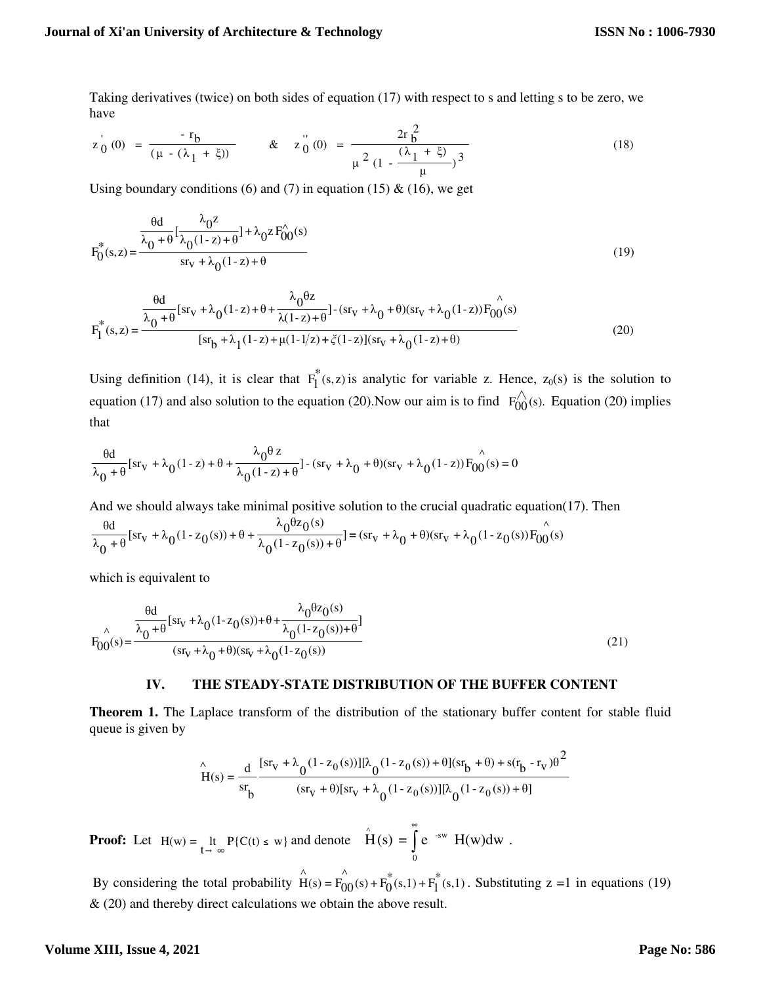Taking derivatives (twice) on both sides of equation (17) with respect to s and letting s to be zero, we have

$$
z_0^{'}(0) = \frac{-r_b}{(\mu - (\lambda_1 + \xi))} \qquad \& \quad z_0^{''}(0) = \frac{2r_b^2}{\mu^2 (1 - \frac{(\lambda_1 + \xi)}{\mu})^3}
$$
(18)

Using boundary conditions (6) and (7) in equation (15)  $\&$  (16), we get

$$
F_0^*(s, z) = \frac{\frac{\theta d}{\lambda_0 + \theta} \left[ \frac{\lambda_0 z}{\lambda_0 (1 - z) + \theta} \right] + \lambda_0 z F_{00}^{\lambda}(s)}{s r_v + \lambda_0 (1 - z) + \theta}
$$
(19)

$$
F_{I}^{*}(s,z) = \frac{\frac{\theta d}{\lambda_{0} + \theta} [sr_{V} + \lambda_{0}(1-z) + \theta + \frac{\lambda_{0}\theta z}{\lambda(1-z) + \theta}] - (sr_{V} + \lambda_{0} + \theta)(sr_{V} + \lambda_{0}(1-z))F_{00}^{*}(s)}{[sr_{b} + \lambda_{1}(1-z) + \mu(1-1/z) + \xi(1-z)](sr_{V} + \lambda_{0}(1-z) + \theta)}
$$
(20)

Using definition (14), it is clear that  $F_I^*(s, z)$  is analytic for variable z. Hence,  $z_0(s)$  is the solution to equation (17) and also solution to the equation (20).Now our aim is to find  $F_{00}^{\wedge}(s)$ . Equation (20) implies that

$$
\frac{\theta d}{\lambda_0+\theta}[\text{sr}_v+\lambda_0(1-z)+\theta+\frac{\lambda_0\theta z}{\lambda_0(1-z)+\theta}]-(\text{sr}_v+\lambda_0+\theta)(\text{sr}_v+\lambda_0(1-z))F_{00}^{\qquad\wedge}(s)=0
$$

And we should always take minimal positive solution to the crucial quadratic equation(17). Then ∧  $\frac{1}{\lambda_0(1-z_0(s))+\theta}$ ] =  $(sr_v + \lambda_0 + \theta)(sr_v + \lambda_0(1-z_0(s))F_{00}(s))$  $\lambda_0 \theta z_0$ (s)  $\frac{1}{\lambda_0 + \theta}$  [sr<sub>v</sub> +  $\lambda_0$ (1 - z<sub>0</sub>(s)) +  $\theta$  +  $\frac{\theta d}{\theta}$  [sr<sub>v</sub> +  $\lambda_0(1-z_0(s))+\theta+\frac{\lambda_0\theta z_0(s)}{z_0(s_0(s_0))}$ ] =

which is equivalent to

$$
F_{00}(s) = \frac{\frac{\theta d}{\lambda_0 + \theta} [sr_v + \lambda_0(1 - z_0(s)) + \theta + \frac{\lambda_0 \theta z_0(s)}{\lambda_0(1 - z_0(s)) + \theta}]}{(sr_v + \lambda_0 + \theta)(sr_v + \lambda_0(1 - z_0(s))}
$$
(21)

#### **IV. THE STEADY-STATE DISTRIBUTION OF THE BUFFER CONTENT**

**Theorem 1.** The Laplace transform of the distribution of the stationary buffer content for stable fluid queue is given by

$$
\hat{H}(s) = \frac{d}{sr_b} \frac{[sr_v + \lambda_0 (1 - z_0(s))][\lambda_0 (1 - z_0(s)) + \theta](sr_b + \theta) + s(r_b - r_v)\theta^2}{(sr_v + \theta)[sr_v + \lambda_0 (1 - z_0(s))][\lambda_0 (1 - z_0(s)) + \theta]}
$$

**Proof:** Let  $H(w) = \lim_{t \to \infty} P\{C(t) \le w\}$  and denote  $H(s) = \int_{s}^{\infty} e^{-sw} H(w) dw$ . 0  $\hat{H}(s) = \int e^{-sw}$ ∞

By considering the total probability  $\mathbf{\hat{H}}(s) = \mathbf{F}_{00}^{(s)}(s) + \mathbf{F}_{0}^{*}(s,1) + \mathbf{F}_{1}^{*}(s,1)$  $(s) + F_0$ ∧  $(s) = F_{00}$ ∧  $H(s) = F_{00}(s) + F_0(s, 1) + F_1(s, 1)$ . Substituting z =1 in equations (19)  $\&$  (20) and thereby direct calculations we obtain the above result.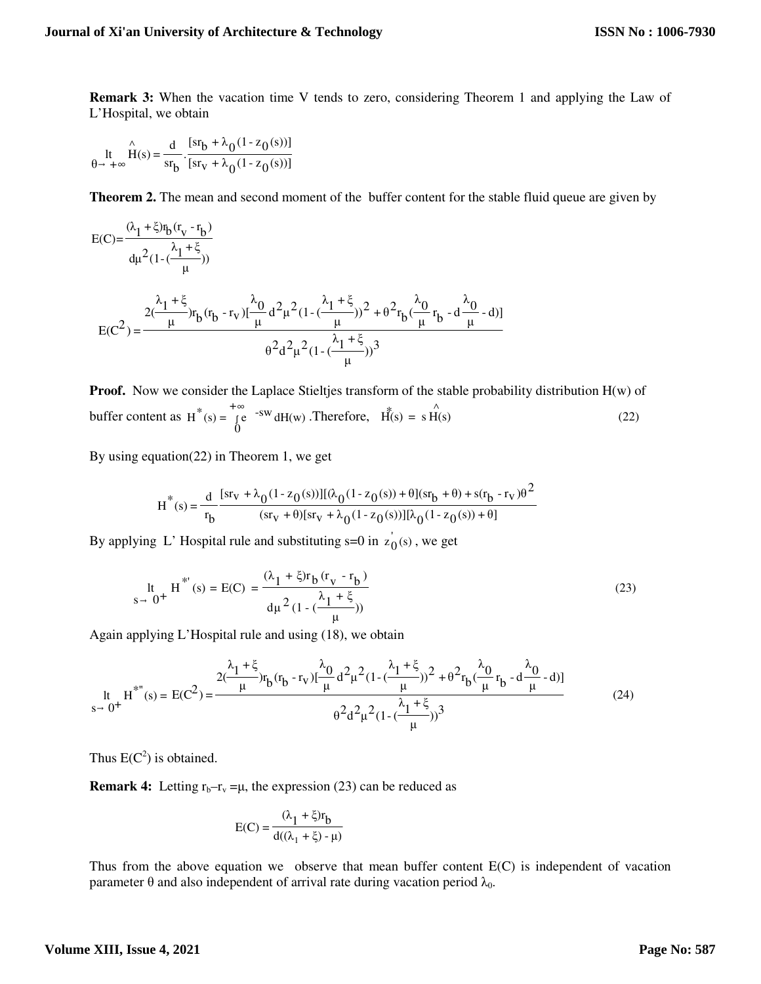**Remark 3:** When the vacation time V tends to zero, considering Theorem 1 and applying the Law of L'Hospital, we obtain

$$
\iint_{\theta \to +\infty} \hat{H}(s) = \frac{d}{sr_b} \cdot \frac{[sr_b + \lambda_0 (1 - z_0(s))]}{[sr_v + \lambda_0 (1 - z_0(s))]}
$$

**Theorem 2.** The mean and second moment of the buffer content for the stable fluid queue are given by

$$
E(C) = \frac{(\lambda_1 + \xi) r_b (r_v - r_b)}{d\mu^2 (1 - (\frac{\lambda_1 + \xi}{\mu}))}
$$
  
\n
$$
E(C^2) = \frac{2(\frac{\lambda_1 + \xi}{\mu}) r_b (r_b - r_v) [\frac{\lambda_0}{\mu} d^2 \mu^2 (1 - (\frac{\lambda_1 + \xi}{\mu}))^2 + \theta^2 r_b (\frac{\lambda_0}{\mu} r_b - d\frac{\lambda_0}{\mu} - d)]}{\theta^2 d^2 \mu^2 (1 - (\frac{\lambda_1 + \xi}{\mu}))^3}
$$

**Proof.** Now we consider the Laplace Stieltjes transform of the stable probability distribution H(w) of buffer content as  $H^{\uparrow}(s) = \int$ +∞  $\dot{0}$  $H^*(s) = \int e^{-sw} dH(w)$ . Therefore,  $H^*(s) = s \hat{H}(s)$  (22)

By using equation(22) in Theorem 1, we get

$$
H^*(s) = \frac{d}{r_b} \frac{[sr_v + \lambda_0(1 - z_0(s))][(\lambda_0(1 - z_0(s)) + \theta](sr_b + \theta) + s(r_b - r_v)\theta^2}{(sr_v + \theta)[sr_v + \lambda_0(1 - z_0(s))][\lambda_0(1 - z_0(s)) + \theta]}
$$

By applying L' Hospital rule and substituting s=0 in  $z_0(s)$ , we get

$$
\begin{aligned} \n\text{lt} & H^{*'}(s) = \text{E(C)} = \frac{(\lambda_1 + \xi) \text{r}_b \left( \text{r}_v - \text{r}_b \right)}{\text{d} \mu^2 \left( 1 - \left( \frac{\lambda_1 + \xi}{\mu} \right) \right)} \n\end{aligned} \tag{23}
$$

Again applying L'Hospital rule and using (18), we obtain

$$
\begin{aligned} \n\text{lt} & H^{*}(\text{s}) = E(C^2) = \frac{2(\frac{\lambda_1 + \xi}{\mu})r_b(r_b - r_v)[\frac{\lambda_0}{\mu}d^2\mu^2(1 - (\frac{\lambda_1 + \xi}{\mu}))^2 + \theta^2r_b(\frac{\lambda_0}{\mu}r_b - d\frac{\lambda_0}{\mu} - d)]}{\theta^2d^2\mu^2(1 - (\frac{\lambda_1 + \xi}{\mu}))^3} \n\end{aligned} \tag{24}
$$

Thus  $E(C^2)$  is obtained.

**Remark 4:** Letting  $r_b - r_v = \mu$ , the expression (23) can be reduced as

$$
E(C) = \frac{(\lambda_1 + \xi)r_b}{d((\lambda_1 + \xi) - \mu)}
$$

Thus from the above equation we observe that mean buffer content  $E(C)$  is independent of vacation parameter θ and also independent of arrival rate during vacation period  $λ_0$ .

# **Volume XIII, Issue 4, 2021**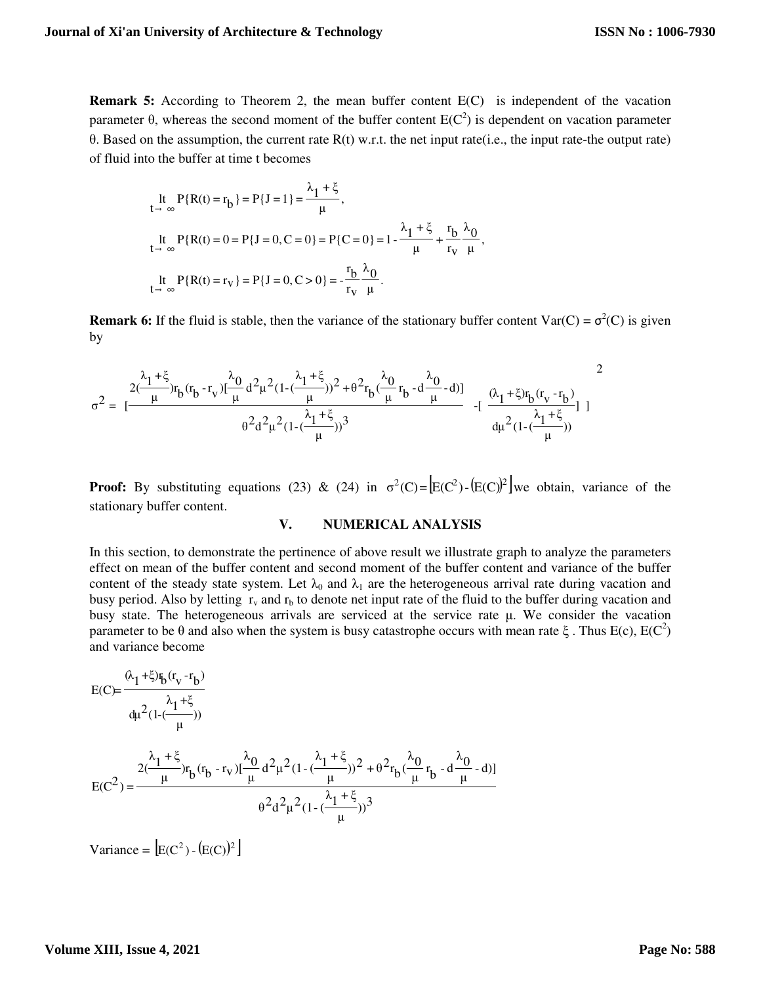**Remark 5:** According to Theorem 2, the mean buffer content E(C) is independent of the vacation parameter θ, whereas the second moment of the buffer content  $E(C^2)$  is dependent on vacation parameter θ. Based on the assumption, the current rate R(t) w.r.t. the net input rate(i.e., the input rate-the output rate) of fluid into the buffer at time t becomes

$$
\begin{aligned}\n\text{It} &= P\{R(t) = r_b\} = P\{J = 1\} = \frac{\lambda_1 + \xi}{\mu}, \\
\text{It} &= P\{R(t) = 0 = P\{J = 0, C = 0\} = P\{C = 0\} = 1 - \frac{\lambda_1 + \xi}{\mu} + \frac{r_b}{r_v} \frac{\lambda_0}{\mu}, \\
\text{It} &= P\{R(t) = r_v\} = P\{J = 0, C > 0\} = -\frac{r_b}{r_v} \frac{\lambda_0}{\mu}.\n\end{aligned}
$$

**Remark 6:** If the fluid is stable, then the variance of the stationary buffer content  $\text{Var}(C) = \sigma^2(C)$  is given by

$$
\sigma^2 = \; [\frac{\frac{\lambda_1+\xi}{\mu}r_b(r_b-r_v)[\frac{\lambda_0}{\mu}d^2\mu^2(1-(\frac{\lambda_1+\xi}{\mu}))^2 + \theta^2r_b(\frac{\lambda_0}{\mu}r_b-d\frac{\lambda_0}{\mu}-d)]}{\theta^2d^2\mu^2(1-(\frac{\lambda_1+\xi}{\mu}))^3} \;\; -[\;\frac{(\lambda_1+\xi)r_b(r_v-r_b)}{\mu^2(1-(\frac{\lambda_1+\xi}{\mu}))}] \; ]
$$

**Proof:** By substituting equations (23) & (24) in  $\sigma^2(C) = [E(C^2) - (E(C))^2]$  we obtain, variance of the stationary buffer content.

# **V. NUMERICAL ANALYSIS**

In this section, to demonstrate the pertinence of above result we illustrate graph to analyze the parameters effect on mean of the buffer content and second moment of the buffer content and variance of the buffer content of the steady state system. Let  $\lambda_0$  and  $\lambda_1$  are the heterogeneous arrival rate during vacation and busy period. Also by letting  $r_v$  and  $r_b$  to denote net input rate of the fluid to the buffer during vacation and busy state. The heterogeneous arrivals are serviced at the service rate μ. We consider the vacation parameter to be  $\theta$  and also when the system is busy catastrophe occurs with mean rate  $\xi$ . Thus E(c), E(C<sup>2</sup>) and variance become

$$
E(C) = \frac{(\lambda_1 + \xi)\mathfrak{r}_b(r_v - r_b)}{\mu^2(1 - (\frac{\lambda_1 + \xi}{\mu}))}
$$
  
\n
$$
E(C^2) = \frac{2(\frac{\lambda_1 + \xi}{\mu})r_b(r_b - r_v)[\frac{\lambda_0}{\mu}d^2\mu^2(1 - (\frac{\lambda_1 + \xi}{\mu}))^2 + \theta^2r_b(\frac{\lambda_0}{\mu}r_b - d\frac{\lambda_0}{\mu} - d)]}{\theta^2d^2\mu^2(1 - (\frac{\lambda_1 + \xi}{\mu}))^3}
$$

 $\text{Variance} = \left[ \text{E}(C^2) - (\text{E}(C))^2 \right]$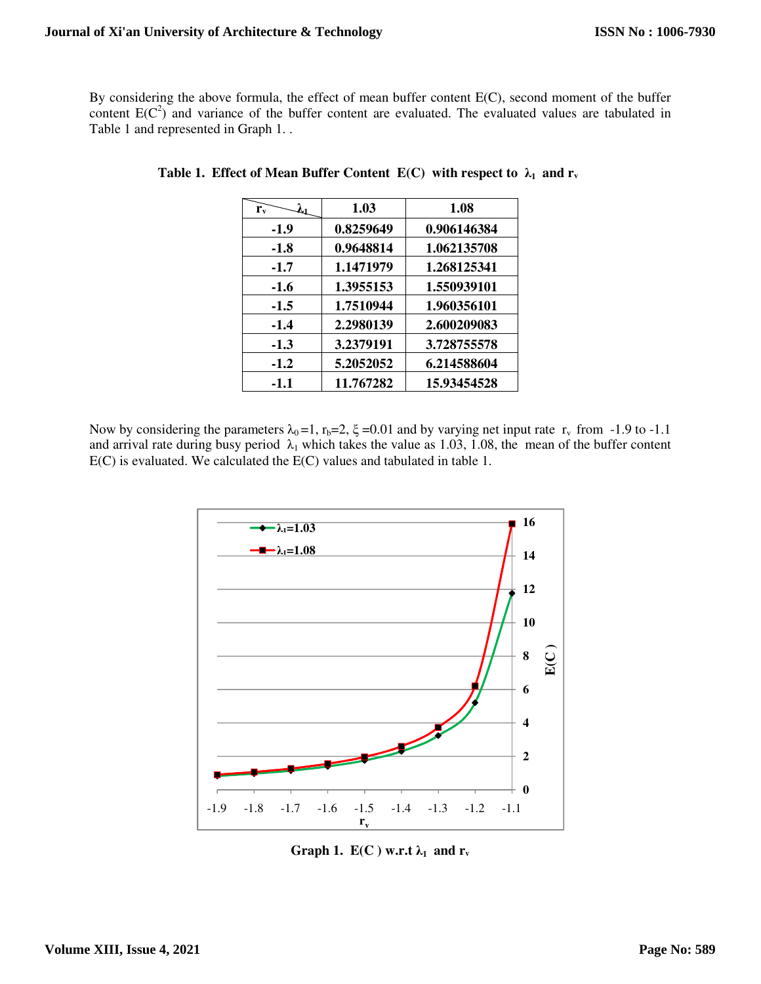By considering the above formula, the effect of mean buffer content E(C), second moment of the buffer content  $E(C^2)$  and variance of the buffer content are evaluated. The evaluated values are tabulated in Table 1 and represented in Graph 1. .

| $r_{\rm v}$ | 1.03      | 1.08        |
|-------------|-----------|-------------|
| $-1.9$      | 0.8259649 | 0.906146384 |
| $-1.8$      | 0.9648814 | 1.062135708 |
| $-1.7$      | 1.1471979 | 1.268125341 |
| $-1.6$      | 1.3955153 | 1.550939101 |
| $-1.5$      | 1.7510944 | 1.960356101 |
| $-1.4$      | 2.2980139 | 2.600209083 |
| $-1.3$      | 3.2379191 | 3.728755578 |
| $-1.2$      | 5.2052052 | 6.214588604 |
| $-1.1$      | 11.767282 | 15.93454528 |

**Table 1. Effect of Mean Buffer Content E(C) with respect to**  $\lambda_1$  **and**  $\mathbf{r}_v$ 

Now by considering the parameters  $\lambda_0 = 1$ ,  $r_b = 2$ ,  $\xi = 0.01$  and by varying net input rate  $r_v$  from -1.9 to -1.1 and arrival rate during busy period  $\lambda_1$  which takes the value as 1.03, 1.08, the mean of the buffer content E(C) is evaluated. We calculated the E(C) values and tabulated in table 1.



**Graph 1.**  $E(C)$  w.r.t  $\lambda_1$  and  $r_v$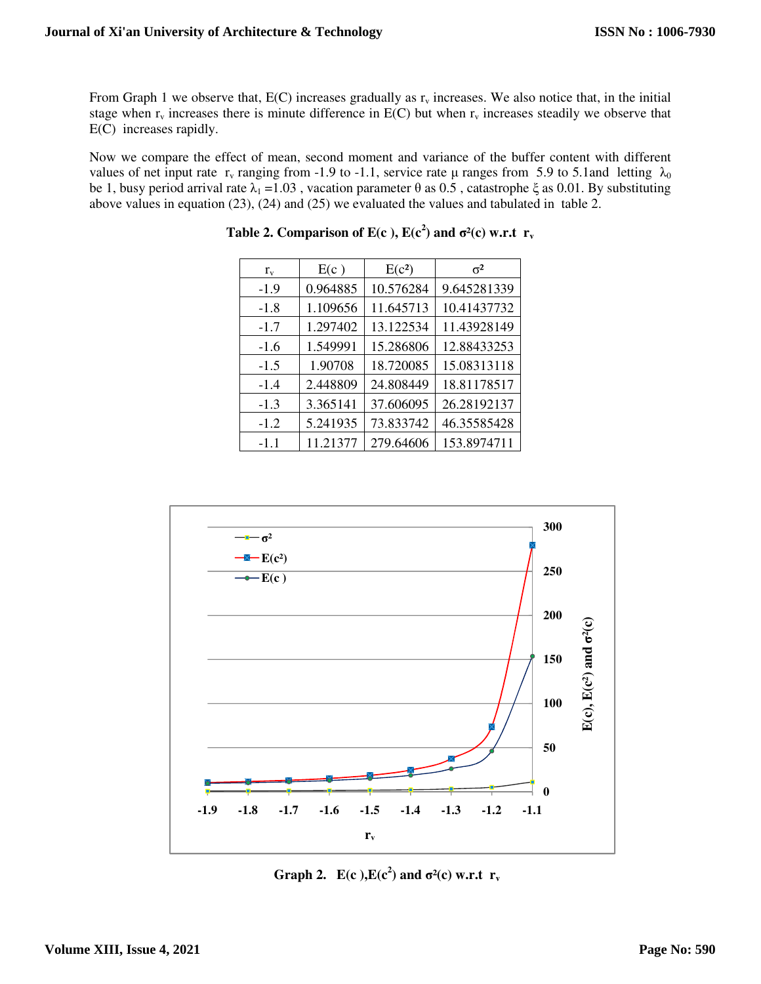From Graph 1 we observe that,  $E(C)$  increases gradually as  $r_v$  increases. We also notice that, in the initial stage when  $r_v$  increases there is minute difference in  $E(C)$  but when  $r_v$  increases steadily we observe that E(C) increases rapidly.

Now we compare the effect of mean, second moment and variance of the buffer content with different values of net input rate r<sub>v</sub> ranging from -1.9 to -1.1, service rate μ ranges from 5.9 to 5.1and letting  $\lambda_0$ be 1, busy period arrival rate  $\lambda_1 = 1.03$ , vacation parameter  $\theta$  as 0.5, catastrophe  $\xi$  as 0.01. By substituting above values in equation (23), (24) and (25) we evaluated the values and tabulated in table 2.

| $r_{\rm v}$ | E(c)     | E(c <sup>2</sup> ) | $\sigma^2$  |
|-------------|----------|--------------------|-------------|
| $-1.9$      | 0.964885 | 10.576284          | 9.645281339 |
| $-1.8$      | 1.109656 | 11.645713          | 10.41437732 |
| $-1.7$      | 1.297402 | 13.122534          | 11.43928149 |
| $-1.6$      | 1.549991 | 15.286806          | 12.88433253 |
| $-1.5$      | 1.90708  | 18.720085          | 15.08313118 |
| $-1.4$      | 2.448809 | 24.808449          | 18.81178517 |
| $-1.3$      | 3.365141 | 37.606095          | 26.28192137 |
| $-1.2$      | 5.241935 | 73.833742          | 46.35585428 |
| $-1.1$      | 11.21377 | 279.64606          | 153.8974711 |

**Table 2. Comparison of E(c),**  $E(c^2)$  **and**  $\sigma^2(c)$  **w.r.t**  $r_v$ 



**Graph 2.**  $E(c^2)$  and  $\sigma^2(c)$  w.r.t  $r_v$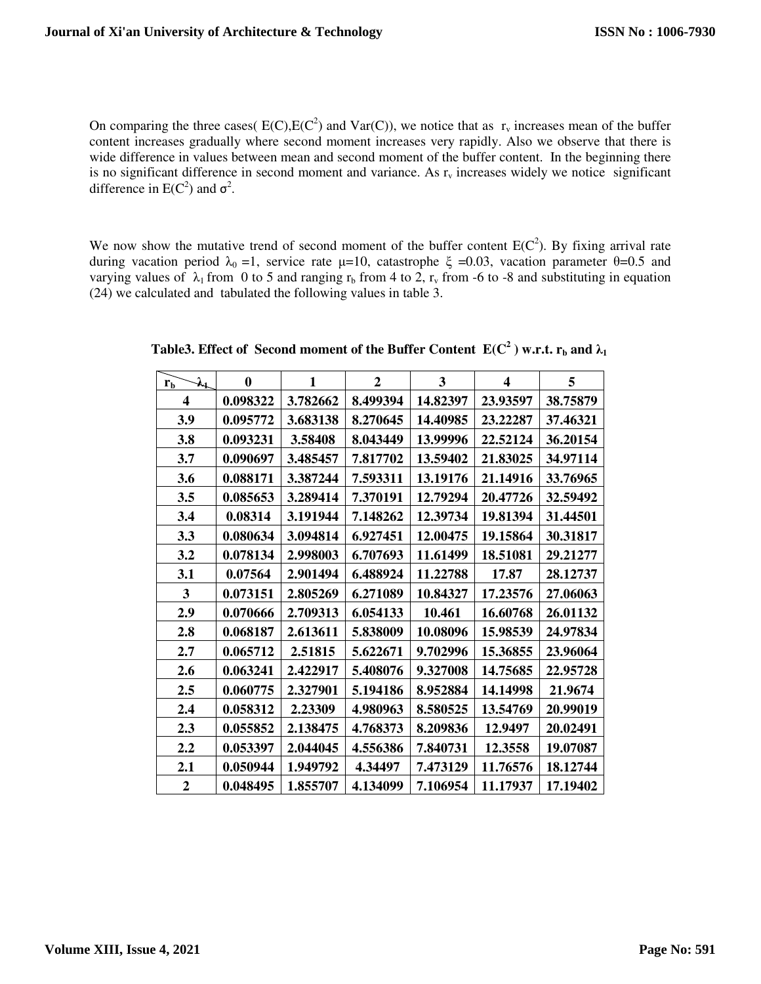On comparing the three cases(  $E(C), E(C^2)$  and  $Var(C)$ ), we notice that as  $r_v$  increases mean of the buffer content increases gradually where second moment increases very rapidly. Also we observe that there is wide difference in values between mean and second moment of the buffer content. In the beginning there is no significant difference in second moment and variance. As  $r<sub>y</sub>$  increases widely we notice significant difference in  $E(C^2)$  and  $\sigma^2$ .

We now show the mutative trend of second moment of the buffer content  $E(C^2)$ . By fixing arrival rate during vacation period  $\lambda_0 = 1$ , service rate μ=10, catastrophe ξ =0.03, vacation parameter θ=0.5 and varying values of  $\lambda_1$  from 0 to 5 and ranging  $r_b$  from 4 to 2,  $r_v$  from -6 to -8 and substituting in equation (24) we calculated and tabulated the following values in table 3.

| $\lambda_1$<br>$r_{\rm b}$ | $\bf{0}$ | 1        | $\overline{2}$ | 3        | 4        | 5        |
|----------------------------|----------|----------|----------------|----------|----------|----------|
| 4                          | 0.098322 | 3.782662 | 8.499394       | 14.82397 | 23.93597 | 38.75879 |
| 3.9                        | 0.095772 | 3.683138 | 8.270645       | 14.40985 | 23.22287 | 37.46321 |
| 3.8                        | 0.093231 | 3.58408  | 8.043449       | 13.99996 | 22.52124 | 36.20154 |
| 3.7                        | 0.090697 | 3.485457 | 7.817702       | 13.59402 | 21.83025 | 34.97114 |
| 3.6                        | 0.088171 | 3.387244 | 7.593311       | 13.19176 | 21.14916 | 33.76965 |
| 3.5                        | 0.085653 | 3.289414 | 7.370191       | 12.79294 | 20.47726 | 32.59492 |
| 3.4                        | 0.08314  | 3.191944 | 7.148262       | 12.39734 | 19.81394 | 31.44501 |
| 3.3                        | 0.080634 | 3.094814 | 6.927451       | 12.00475 | 19.15864 | 30.31817 |
| 3.2                        | 0.078134 | 2.998003 | 6.707693       | 11.61499 | 18.51081 | 29.21277 |
| 3.1                        | 0.07564  | 2.901494 | 6.488924       | 11.22788 | 17.87    | 28.12737 |
| 3                          | 0.073151 | 2.805269 | 6.271089       | 10.84327 | 17.23576 | 27.06063 |
| 2.9                        | 0.070666 | 2.709313 | 6.054133       | 10.461   | 16.60768 | 26.01132 |
| 2.8                        | 0.068187 | 2.613611 | 5.838009       | 10.08096 | 15.98539 | 24.97834 |
| 2.7                        | 0.065712 | 2.51815  | 5.622671       | 9.702996 | 15.36855 | 23.96064 |
| 2.6                        | 0.063241 | 2.422917 | 5.408076       | 9.327008 | 14.75685 | 22.95728 |
| 2.5                        | 0.060775 | 2.327901 | 5.194186       | 8.952884 | 14.14998 | 21.9674  |
| 2.4                        | 0.058312 | 2.23309  | 4.980963       | 8.580525 | 13.54769 | 20.99019 |
| 2.3                        | 0.055852 | 2.138475 | 4.768373       | 8.209836 | 12.9497  | 20.02491 |
| 2.2                        | 0.053397 | 2.044045 | 4.556386       | 7.840731 | 12.3558  | 19.07087 |
| 2.1                        | 0.050944 | 1.949792 | 4.34497        | 7.473129 | 11.76576 | 18.12744 |
| $\boldsymbol{2}$           | 0.048495 | 1.855707 | 4.134099       | 7.106954 | 11.17937 | 17.19402 |

**Table3.** Effect of Second moment of the Buffer Content  $E(C^2)$  w.r.t.  $r_b$  and  $\lambda_1$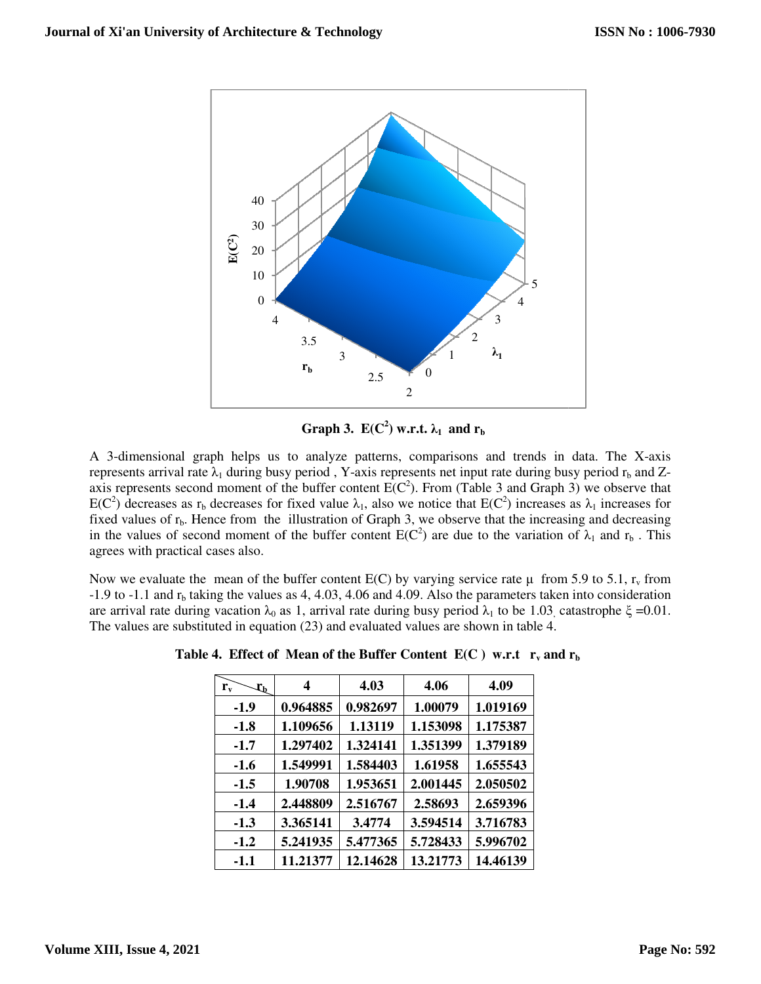

**Graph 3.**  $E(C^2)$  w.r.t.  $\lambda_1$  and  $r_b$ 

A 3-dimensional graph helps us to analyze patterns, comparisons and trends in data. The X-axis represents arrival rate  $\lambda_1$  during busy period , Y-axis represents net input rate during busy period  $r_b$  and Zrepresents arrival rate  $\lambda_1$  during busy period, Y-axis represents net input rate during busy period  $r_b$  and Zaxis represents second moment of the buffer content  $E(C^2)$ . From (Table 3 and Graph 3) we observe that  $E(C^2)$  decreases as r<sub>b</sub> decreases for fixed value  $\lambda_1$ , also we notice that  $E(C^2)$  increases as  $\lambda_1$  increases for fixed values of  $r<sub>b</sub>$ . Hence from the illustration of Graph 3, we observe that the increasing and decreasing in the values of second moment of the buffer content  $E(C^2)$  are due to the variation of  $\lambda_1$  and  $r_b$ . This agrees with practical cases also.

Now we evaluate the mean of the buffer content  $E(C)$  by varying service rate  $\mu$  from 5.9 to 5.1,  $r_v$  from  $-1.9$  to  $-1.1$  and  $r<sub>b</sub>$  taking the values as 4, 4.03, 4.06 and 4.09. Also the parameters taken into consideration are arrival rate during vacation  $\lambda_0$  as 1, arrival rate during busy period  $\lambda_1$  to be 1.03, catastrophe  $\xi = 0.01$ . The values are substituted in equation (23) and evaluated values are shown in table 4.

| $r_{\rm v}$<br>$\mathfrak{r}_{\mathfrak{b}}$ | 4        | 4.03     | 4.06     | 4.09     |
|----------------------------------------------|----------|----------|----------|----------|
| $-1.9$                                       | 0.964885 | 0.982697 | 1.00079  | 1.019169 |
| $-1.8$                                       | 1.109656 | 1.13119  | 1.153098 | 1.175387 |
| $-1.7$                                       | 1.297402 | 1.324141 | 1.351399 | 1.379189 |
| $-1.6$                                       | 1.549991 | 1.584403 | 1.61958  | 1.655543 |
| $-1.5$                                       | 1.90708  | 1.953651 | 2.001445 | 2.050502 |
| $-1.4$                                       | 2.448809 | 2.516767 | 2.58693  | 2.659396 |
| $-1.3$                                       | 3.365141 | 3.4774   | 3.594514 | 3.716783 |
| $-1.2$                                       | 5.241935 | 5.477365 | 5.728433 | 5.996702 |
| $-1.1$                                       | 11.21377 | 12.14628 | 13.21773 | 14.46139 |

**Table 4. Effect of Mean of the Buffer Content**  $E(C)$  **w.r.t**  $r_v$  **and**  $r_b$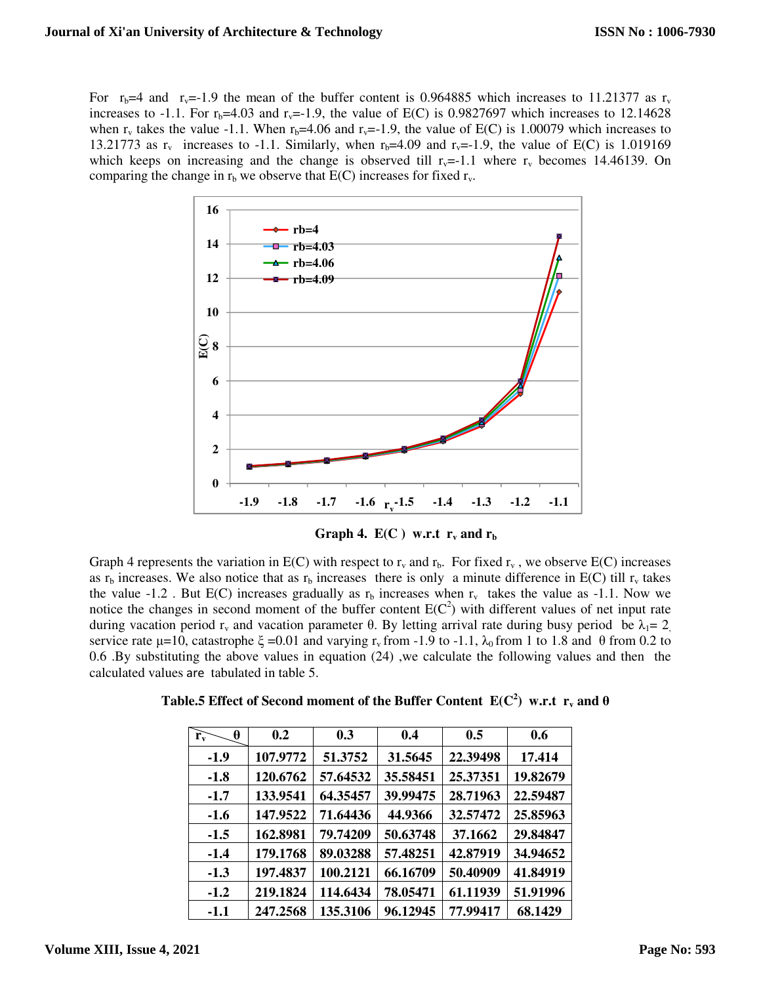For  $r_b=4$  and  $r_v=1.9$  the mean of the buffer content is 0.964885 which increases to 11.21377 as  $r_v$ increases to -1.1. For  $r_b=4.03$  and  $r_v=-1.9$ , the value of E(C) is 0.9827697 which increases to 12.14628 when  $r_v$  takes the value -1.1. When  $r_b=4.06$  and  $r_v=1.9$ , the value of E(C) is 1.00079 which increases to 13.21773 as  $r_v$  increases to -1.1. Similarly, when  $r_b=4.09$  and  $r_v=1.9$ , the value of E(C) is 1.019169 which keeps on increasing and the change is observed till  $r_v=-1.1$  where  $r_v$  becomes 14.46139. On comparing the change in  $r_b$  we observe that  $E(C)$  increases for fixed  $r_v$ .



**Graph 4.**  $E(C)$  w.r.t  $r_v$  and  $r_b$ 

Graph 4 represents the variation in  $E(C)$  with respect to  $r_v$  and  $r_b$ . For fixed  $r_v$ , we observe  $E(C)$  increases as  $r_b$  increases. We also notice that as  $r_b$  increases there is only a minute difference in E(C) till  $r_v$  takes the value -1.2. But E(C) increases gradually as  $r<sub>b</sub>$  increases when  $r<sub>v</sub>$  takes the value as -1.1. Now we notice the changes in second moment of the buffer content  $E(C^2)$  with different values of net input rate during vacation period  $r_v$  and vacation parameter θ. By letting arrival rate during busy period be  $\lambda_1 = 2$ . service rate  $\mu$ =10, catastrophe  $\xi$  =0.01 and varying r<sub>v</sub> from -1.9 to -1.1,  $\lambda_0$  from 1 to 1.8 and  $\theta$  from 0.2 to 0.6 .By substituting the above values in equation (24) ,we calculate the following values and then the calculated values are tabulated in table 5.

| θ<br>$\mathbf{r}_{\mathbf{v}}$ | 0.2      | 0.3      | 0.4      | 0.5      | 0.6      |
|--------------------------------|----------|----------|----------|----------|----------|
| $-1.9$                         | 107.9772 | 51.3752  | 31.5645  | 22.39498 | 17.414   |
| $-1.8$                         | 120.6762 | 57.64532 | 35.58451 | 25.37351 | 19.82679 |
| $-1.7$                         | 133.9541 | 64.35457 | 39.99475 | 28.71963 | 22.59487 |
| $-1.6$                         | 147.9522 | 71.64436 | 44.9366  | 32.57472 | 25.85963 |
| $-1.5$                         | 162.8981 | 79.74209 | 50.63748 | 37.1662  | 29.84847 |
| $-1.4$                         | 179.1768 | 89.03288 | 57.48251 | 42.87919 | 34.94652 |
| $-1.3$                         | 197.4837 | 100.2121 | 66.16709 | 50.40909 | 41.84919 |
| $-1.2$                         | 219.1824 | 114.6434 | 78.05471 | 61.11939 | 51.91996 |
| $-1.1$                         | 247.2568 | 135.3106 | 96.12945 | 77.99417 | 68.1429  |

**Table.5 Effect of Second moment of the Buffer Content**  $E(C^2)$  **w.r.t**  $r_v$  **and**  $\theta$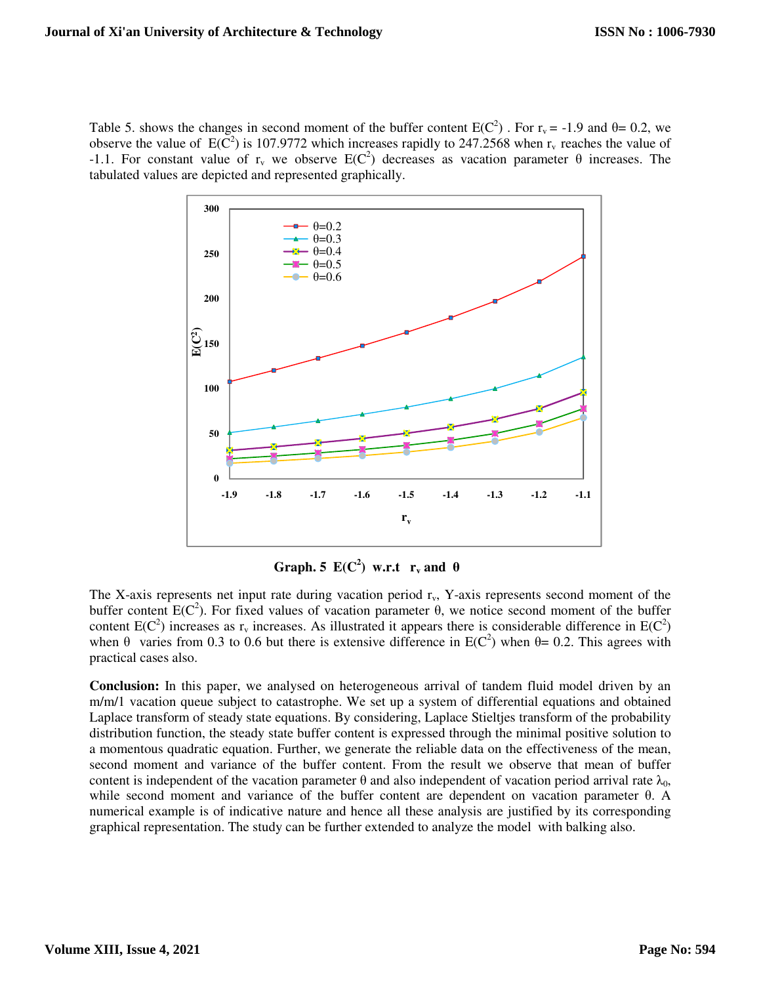Table 5. shows the changes in second moment of the buffer content  $E(C^2)$ . For  $r_v = -1.9$  and  $\theta = 0.2$ , we observe the value of  $E(\overline{C}^2)$  is 107.9772 which increases rapidly to 247.2568 when  $r_v$  reaches the value of -1.1. For constant value of r<sub>v</sub> we observe E(C<sup>2</sup>) decreases as vacation parameter θ increases. The tabulated values are depicted and represented graphically.



**Graph. 5**  $E(C^2)$  w.r.t  $r_v$  and  $\theta$ 

The X-axis represents net input rate during vacation period  $r<sub>v</sub>$ , Y-axis represents second moment of the buffer content  $E(C^2)$ . For fixed values of vacation parameter  $\theta$ , we notice second moment of the buffer content  $E(C^2)$  increases as  $r_v$  increases. As illustrated it appears there is considerable difference in  $E(C^2)$ when  $\theta$  varies from 0.3 to 0.6 but there is extensive difference in E(C<sup>2</sup>) when  $\theta$ = 0.2. This agrees with practical cases also.

**Conclusion:** In this paper, we analysed on heterogeneous arrival of tandem fluid model driven by an m/m/1 vacation queue subject to catastrophe. We set up a system of differential equations and obtained Laplace transform of steady state equations. By considering, Laplace Stieltjes transform of the probability distribution function, the steady state buffer content is expressed through the minimal positive solution to a momentous quadratic equation. Further, we generate the reliable data on the effectiveness of the mean, second moment and variance of the buffer content. From the result we observe that mean of buffer content is independent of the vacation parameter  $\theta$  and also independent of vacation period arrival rate  $\lambda_0$ , while second moment and variance of the buffer content are dependent on vacation parameter θ. A numerical example is of indicative nature and hence all these analysis are justified by its corresponding graphical representation. The study can be further extended to analyze the model with balking also.